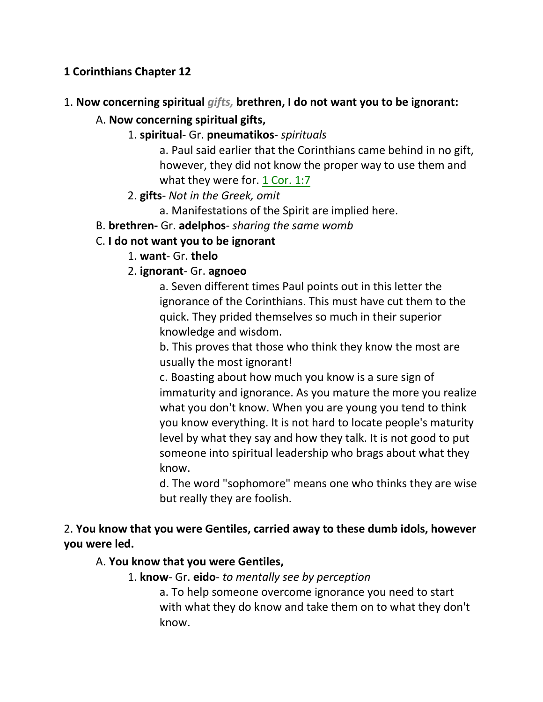### **1 Corinthians Chapter 12**

### 1. **Now concerning spiritual** *gifts,* **brethren, I do not want you to be ignorant:**

### A. **Now concerning spiritual gifts,**

1. **spiritual**- Gr. **pneumatikos**- *spirituals*

a. Paul said earlier that the Corinthians came behind in no gift, however, they did not know the proper way to use them and what they were for. 1 Cor. 1:7

2. **gifts**- *Not in the Greek, omit*

a. Manifestations of the Spirit are implied here.

B. **brethren-** Gr. **adelphos**- *sharing the same womb*

### C. **I do not want you to be ignorant**

1. **want**- Gr. **thelo**

### 2. **ignorant**- Gr. **agnoeo**

a. Seven different times Paul points out in this letter the ignorance of the Corinthians. This must have cut them to the quick. They prided themselves so much in their superior knowledge and wisdom.

b. This proves that those who think they know the most are usually the most ignorant!

c. Boasting about how much you know is a sure sign of immaturity and ignorance. As you mature the more you realize what you don't know. When you are young you tend to think you know everything. It is not hard to locate people's maturity level by what they say and how they talk. It is not good to put someone into spiritual leadership who brags about what they know.

d. The word "sophomore" means one who thinks they are wise but really they are foolish.

## 2. **You know that you were Gentiles, carried away to these dumb idols, however you were led.**

### A. **You know that you were Gentiles,**

1. **know**- Gr. **eido**- *to mentally see by perception*

a. To help someone overcome ignorance you need to start with what they do know and take them on to what they don't know.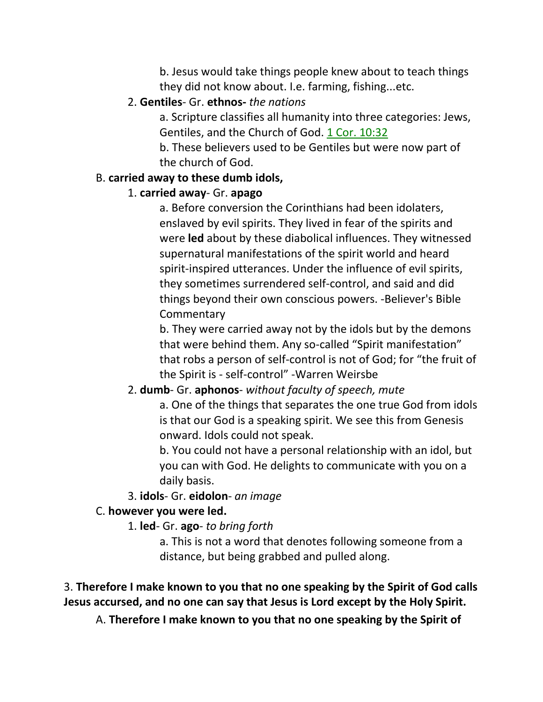b. Jesus would take things people knew about to teach things they did not know about. I.e. farming, fishing...etc.

### 2. **Gentiles**- Gr. **ethnos-** *the nations*

a. Scripture classifies all humanity into three categories: Jews, Gentiles, and the Church of God. 1 Cor. 10:32

b. These believers used to be Gentiles but were now part of the church of God.

### B. **carried away to these dumb idols,**

### 1. **carried away**- Gr. **apago**

a. Before conversion the Corinthians had been idolaters, enslaved by evil spirits. They lived in fear of the spirits and were **led** about by these diabolical influences. They witnessed supernatural manifestations of the spirit world and heard spirit-inspired utterances. Under the influence of evil spirits, they sometimes surrendered self-control, and said and did things beyond their own conscious powers. -Believer's Bible **Commentary** 

b. They were carried away not by the idols but by the demons that were behind them. Any so-called "Spirit manifestation" that robs a person of self-control is not of God; for "the fruit of the Spirit is - self-control" -Warren Weirsbe

## 2. **dumb**- Gr. **aphonos**- *without faculty of speech, mute*

a. One of the things that separates the one true God from idols is that our God is a speaking spirit. We see this from Genesis onward. Idols could not speak.

b. You could not have a personal relationship with an idol, but you can with God. He delights to communicate with you on a daily basis.

## 3. **idols**- Gr. **eidolon**- *an image*

## C. **however you were led.**

## 1. **led**- Gr. **ago**- *to bring forth*

a. This is not a word that denotes following someone from a distance, but being grabbed and pulled along.

## 3. **Therefore I make known to you that no one speaking by the Spirit of God calls Jesus accursed, and no one can say that Jesus is Lord except by the Holy Spirit.**

A. **Therefore I make known to you that no one speaking by the Spirit of**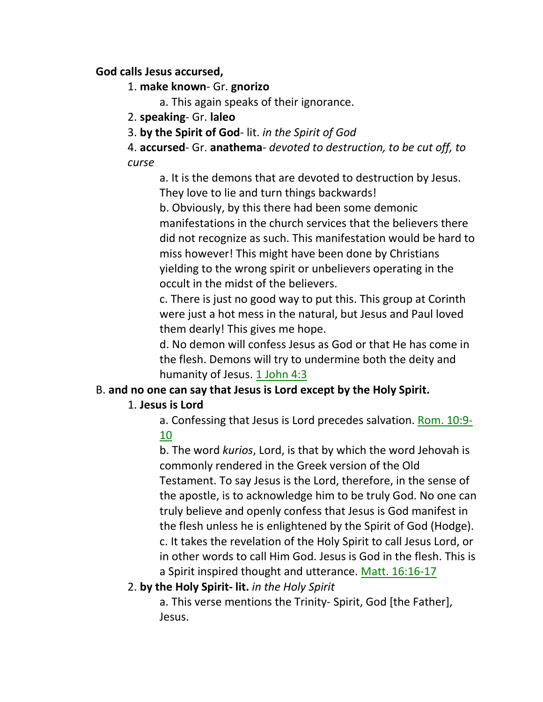### **God calls Jesus accursed,**

### 1. **make known**- Gr. **gnorizo**

a. This again speaks of their ignorance.

2. **speaking**- Gr. **laleo**

3. **by the Spirit of God**- lit. *in the Spirit of God*

4. **accursed**- Gr. **anathema**- *devoted to destruction, to be cut off, to curse*

a. It is the demons that are devoted to destruction by Jesus. They love to lie and turn things backwards!

b. Obviously, by this there had been some demonic manifestations in the church services that the believers there did not recognize as such. This manifestation would be hard to miss however! This might have been done by Christians yielding to the wrong spirit or unbelievers operating in the occult in the midst of the believers.

c. There is just no good way to put this. This group at Corinth were just a hot mess in the natural, but Jesus and Paul loved them dearly! This gives me hope.

d. No demon will confess Jesus as God or that He has come in the flesh. Demons will try to undermine both the deity and humanity of Jesus. 1 John 4:3

## B. **and no one can say that Jesus is Lord except by the Holy Spirit.**

## 1. **Jesus is Lord**

a. Confessing that Jesus is Lord precedes salvation. Rom. 10:9- 10

b. The word *kurios*, Lord, is that by which the word Jehovah is commonly rendered in the Greek version of the Old Testament. To say Jesus is the Lord, therefore, in the sense of the apostle, is to acknowledge him to be truly God. No one can truly believe and openly confess that Jesus is God manifest in the flesh unless he is enlightened by the Spirit of God (Hodge). c. It takes the revelation of the Holy Spirit to call Jesus Lord, or in other words to call Him God. Jesus is God in the flesh. This is a Spirit inspired thought and utterance. Matt. 16:16-17

## 2. **by the Holy Spirit- lit.** *in the Holy Spirit*

a. This verse mentions the Trinity- Spirit, God [the Father], Jesus.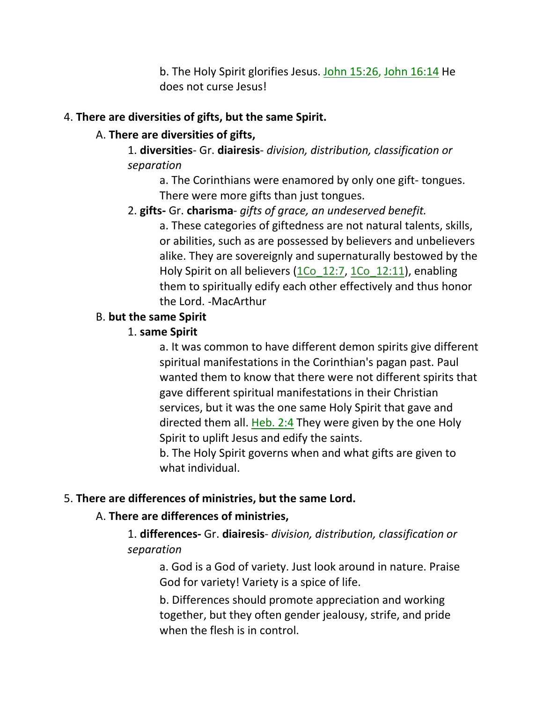b. The Holy Spirit glorifies Jesus. John 15:26, John 16:14 He does not curse Jesus!

### 4. **There are diversities of gifts, but the same Spirit.**

### A. **There are diversities of gifts,**

1. **diversities**- Gr. **diairesis**- *division, distribution, classification or separation*

a. The Corinthians were enamored by only one gift- tongues. There were more gifts than just tongues.

## 2. **gifts-** Gr. **charisma**- *gifts of grace, an undeserved benefit.*

a. These categories of giftedness are not natural talents, skills, or abilities, such as are possessed by believers and unbelievers alike. They are sovereignly and supernaturally bestowed by the Holy Spirit on all believers (1Co 12:7, 1Co 12:11), enabling them to spiritually edify each other effectively and thus honor the Lord. -MacArthur

### B. **but the same Spirit**

## 1. **same Spirit**

a. It was common to have different demon spirits give different spiritual manifestations in the Corinthian's pagan past. Paul wanted them to know that there were not different spirits that gave different spiritual manifestations in their Christian services, but it was the one same Holy Spirit that gave and directed them all. Heb. 2:4 They were given by the one Holy Spirit to uplift Jesus and edify the saints.

b. The Holy Spirit governs when and what gifts are given to what individual.

## 5. **There are differences of ministries, but the same Lord.**

## A. **There are differences of ministries,**

1. **differences-** Gr. **diairesis**- *division, distribution, classification or separation*

a. God is a God of variety. Just look around in nature. Praise God for variety! Variety is a spice of life.

b. Differences should promote appreciation and working together, but they often gender jealousy, strife, and pride when the flesh is in control.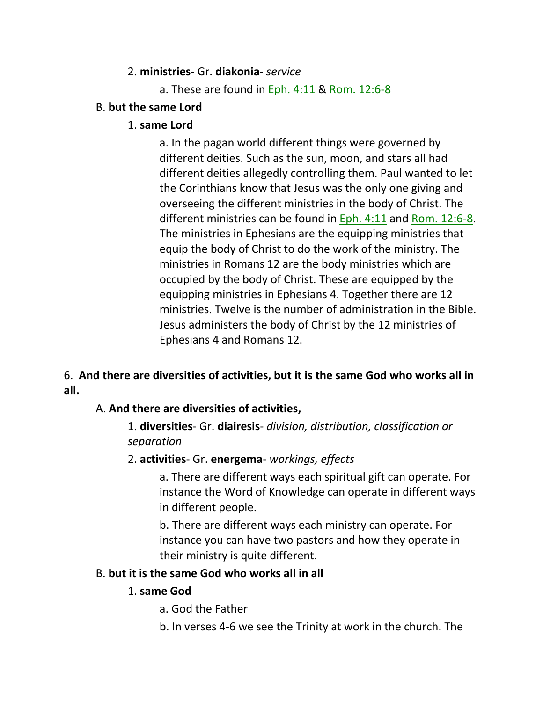### 2. **ministries-** Gr. **diakonia**- *service*

a. These are found in Eph. 4:11 & Rom. 12:6-8

### B. **but the same Lord**

### 1. **same Lord**

a. In the pagan world different things were governed by different deities. Such as the sun, moon, and stars all had different deities allegedly controlling them. Paul wanted to let the Corinthians know that Jesus was the only one giving and overseeing the different ministries in the body of Christ. The different ministries can be found in Eph. 4:11 and Rom. 12:6-8. The ministries in Ephesians are the equipping ministries that equip the body of Christ to do the work of the ministry. The ministries in Romans 12 are the body ministries which are occupied by the body of Christ. These are equipped by the equipping ministries in Ephesians 4. Together there are 12 ministries. Twelve is the number of administration in the Bible. Jesus administers the body of Christ by the 12 ministries of Ephesians 4 and Romans 12.

### 6. **And there are diversities of activities, but it is the same God who works all in all.**

## A. **And there are diversities of activities,**

1. **diversities**- Gr. **diairesis**- *division, distribution, classification or separation*

### 2. **activities**- Gr. **energema**- *workings, effects*

a. There are different ways each spiritual gift can operate. For instance the Word of Knowledge can operate in different ways in different people.

b. There are different ways each ministry can operate. For instance you can have two pastors and how they operate in their ministry is quite different.

### B. **but it is the same God who works all in all**

### 1. **same God**

- a. God the Father
- b. In verses 4-6 we see the Trinity at work in the church. The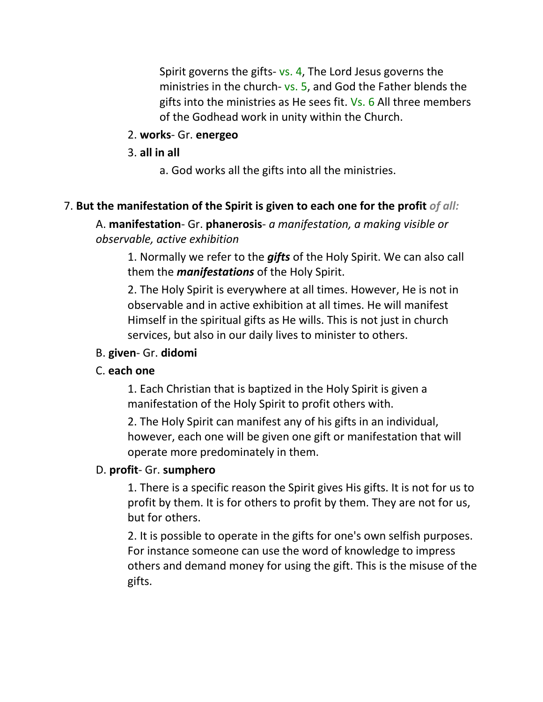Spirit governs the gifts- vs. 4, The Lord Jesus governs the ministries in the church- vs. 5, and God the Father blends the gifts into the ministries as He sees fit. Vs. 6 All three members of the Godhead work in unity within the Church.

### 2. **works**- Gr. **energeo**

3. **all in all**

a. God works all the gifts into all the ministries.

### 7. **But the manifestation of the Spirit is given to each one for the profit** *of all:*

A. **manifestation**- Gr. **phanerosis**- *a manifestation, a making visible or observable, active exhibition*

1. Normally we refer to the *gifts* of the Holy Spirit. We can also call them the *manifestations* of the Holy Spirit.

2. The Holy Spirit is everywhere at all times. However, He is not in observable and in active exhibition at all times. He will manifest Himself in the spiritual gifts as He wills. This is not just in church services, but also in our daily lives to minister to others.

### B. **given**- Gr. **didomi**

### C. **each one**

1. Each Christian that is baptized in the Holy Spirit is given a manifestation of the Holy Spirit to profit others with.

2. The Holy Spirit can manifest any of his gifts in an individual, however, each one will be given one gift or manifestation that will operate more predominately in them.

### D. **profit**- Gr. **sumphero**

1. There is a specific reason the Spirit gives His gifts. It is not for us to profit by them. It is for others to profit by them. They are not for us, but for others.

2. It is possible to operate in the gifts for one's own selfish purposes. For instance someone can use the word of knowledge to impress others and demand money for using the gift. This is the misuse of the gifts.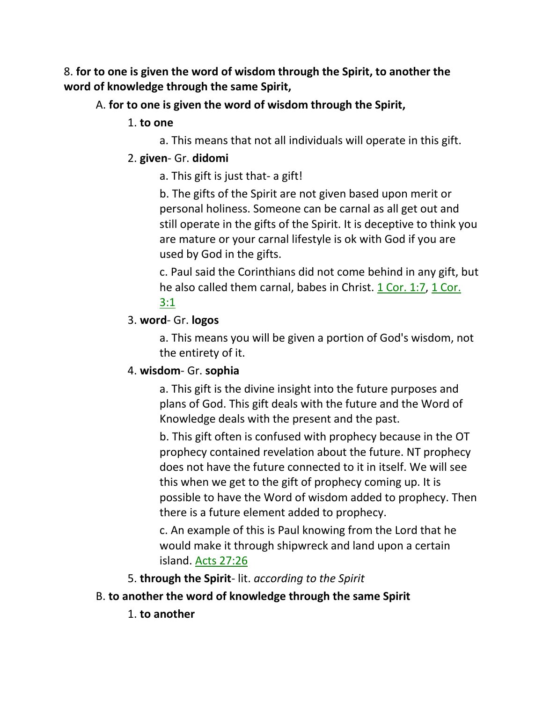8. **for to one is given the word of wisdom through the Spirit, to another the word of knowledge through the same Spirit,**

### A. **for to one is given the word of wisdom through the Spirit,**

#### 1. **to one**

a. This means that not all individuals will operate in this gift.

### 2. **given**- Gr. **didomi**

a. This gift is just that- a gift!

b. The gifts of the Spirit are not given based upon merit or personal holiness. Someone can be carnal as all get out and still operate in the gifts of the Spirit. It is deceptive to think you are mature or your carnal lifestyle is ok with God if you are used by God in the gifts.

c. Paul said the Corinthians did not come behind in any gift, but he also called them carnal, babes in Christ. 1 Cor. 1:7, 1 Cor. 3:1

### 3. **word**- Gr. **logos**

a. This means you will be given a portion of God's wisdom, not the entirety of it.

## 4. **wisdom**- Gr. **sophia**

a. This gift is the divine insight into the future purposes and plans of God. This gift deals with the future and the Word of Knowledge deals with the present and the past.

b. This gift often is confused with prophecy because in the OT prophecy contained revelation about the future. NT prophecy does not have the future connected to it in itself. We will see this when we get to the gift of prophecy coming up. It is possible to have the Word of wisdom added to prophecy. Then there is a future element added to prophecy.

c. An example of this is Paul knowing from the Lord that he would make it through shipwreck and land upon a certain island. Acts 27:26

5. **through the Spirit**- lit. *according to the Spirit*

## B. **to another the word of knowledge through the same Spirit**

1. **to another**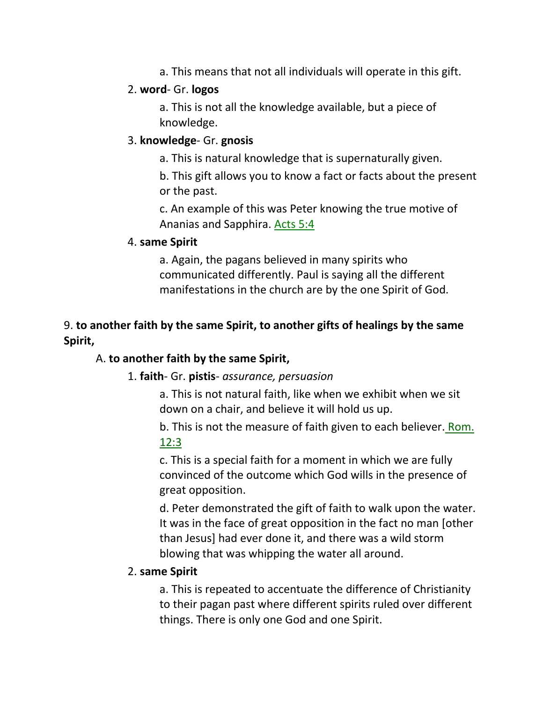a. This means that not all individuals will operate in this gift.

### 2. **word**- Gr. **logos**

a. This is not all the knowledge available, but a piece of knowledge.

### 3. **knowledge**- Gr. **gnosis**

a. This is natural knowledge that is supernaturally given.

b. This gift allows you to know a fact or facts about the present or the past.

c. An example of this was Peter knowing the true motive of Ananias and Sapphira. Acts 5:4

### 4. **same Spirit**

a. Again, the pagans believed in many spirits who communicated differently. Paul is saying all the different manifestations in the church are by the one Spirit of God.

## 9. **to another faith by the same Spirit, to another gifts of healings by the same Spirit,**

## A. **to another faith by the same Spirit,**

### 1. **faith**- Gr. **pistis**- *assurance, persuasion*

a. This is not natural faith, like when we exhibit when we sit down on a chair, and believe it will hold us up.

b. This is not the measure of faith given to each believer. Rom. 12:3

c. This is a special faith for a moment in which we are fully convinced of the outcome which God wills in the presence of great opposition.

d. Peter demonstrated the gift of faith to walk upon the water. It was in the face of great opposition in the fact no man [other than Jesus] had ever done it, and there was a wild storm blowing that was whipping the water all around.

### 2. **same Spirit**

a. This is repeated to accentuate the difference of Christianity to their pagan past where different spirits ruled over different things. There is only one God and one Spirit.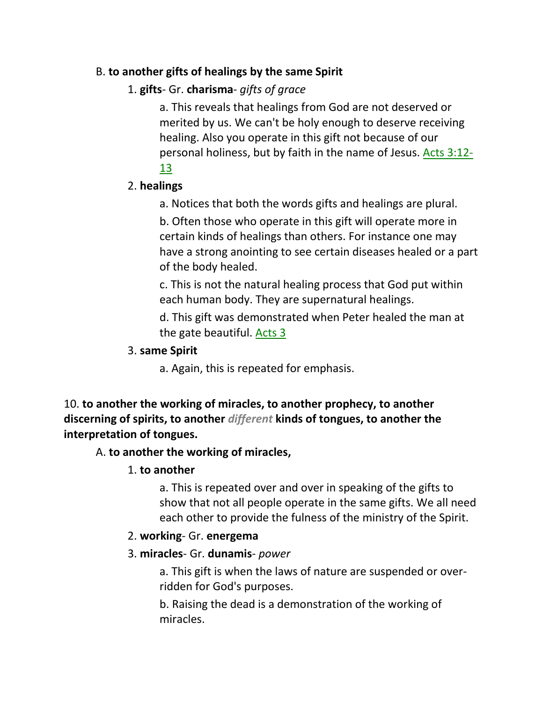### B. **to another gifts of healings by the same Spirit**

## 1. **gifts**- Gr. **charisma**- *gifts of grace*

a. This reveals that healings from God are not deserved or merited by us. We can't be holy enough to deserve receiving healing. Also you operate in this gift not because of our personal holiness, but by faith in the name of Jesus. Acts 3:12- 13

### 2. **healings**

a. Notices that both the words gifts and healings are plural.

b. Often those who operate in this gift will operate more in certain kinds of healings than others. For instance one may have a strong anointing to see certain diseases healed or a part of the body healed.

c. This is not the natural healing process that God put within each human body. They are supernatural healings.

d. This gift was demonstrated when Peter healed the man at the gate beautiful. Acts 3

### 3. **same Spirit**

a. Again, this is repeated for emphasis.

10. **to another the working of miracles, to another prophecy, to another discerning of spirits, to another** *different* **kinds of tongues, to another the interpretation of tongues.** 

## A. **to another the working of miracles,**

### 1. **to another**

a. This is repeated over and over in speaking of the gifts to show that not all people operate in the same gifts. We all need each other to provide the fulness of the ministry of the Spirit.

### 2. **working**- Gr. **energema**

### 3. **miracles**- Gr. **dunamis**- *power*

a. This gift is when the laws of nature are suspended or overridden for God's purposes.

b. Raising the dead is a demonstration of the working of miracles.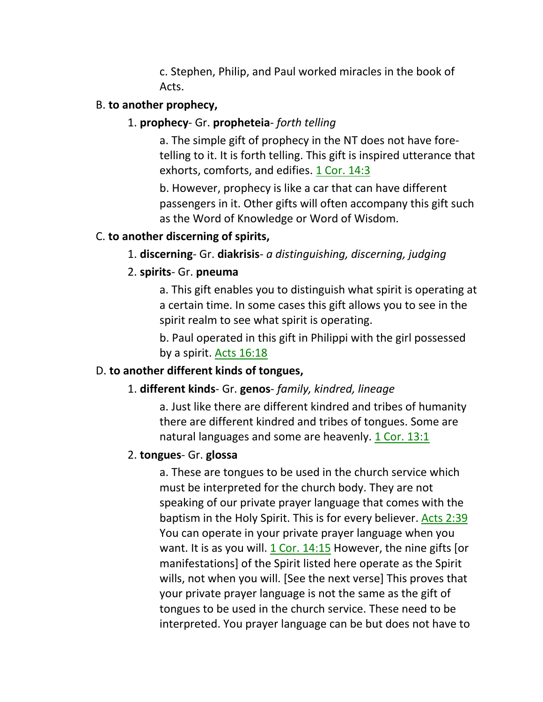c. Stephen, Philip, and Paul worked miracles in the book of Acts.

### B. **to another prophecy,**

### 1. **prophecy**- Gr. **propheteia**- *forth telling*

a. The simple gift of prophecy in the NT does not have foretelling to it. It is forth telling. This gift is inspired utterance that exhorts, comforts, and edifies. 1 Cor. 14:3

b. However, prophecy is like a car that can have different passengers in it. Other gifts will often accompany this gift such as the Word of Knowledge or Word of Wisdom.

### C. **to another discerning of spirits,**

### 1. **discerning**- Gr. **diakrisis**- *a distinguishing, discerning, judging*

### 2. **spirits**- Gr. **pneuma**

a. This gift enables you to distinguish what spirit is operating at a certain time. In some cases this gift allows you to see in the spirit realm to see what spirit is operating.

b. Paul operated in this gift in Philippi with the girl possessed by a spirit. Acts 16:18

### D. **to another different kinds of tongues,**

### 1. **different kinds**- Gr. **genos**- *family, kindred, lineage*

a. Just like there are different kindred and tribes of humanity there are different kindred and tribes of tongues. Some are natural languages and some are heavenly. 1 Cor. 13:1

### 2. **tongues**- Gr. **glossa**

a. These are tongues to be used in the church service which must be interpreted for the church body. They are not speaking of our private prayer language that comes with the baptism in the Holy Spirit. This is for every believer. Acts 2:39 You can operate in your private prayer language when you want. It is as you will. 1 Cor. 14:15 However, the nine gifts [or manifestations] of the Spirit listed here operate as the Spirit wills, not when you will. [See the next verse] This proves that your private prayer language is not the same as the gift of tongues to be used in the church service. These need to be interpreted. You prayer language can be but does not have to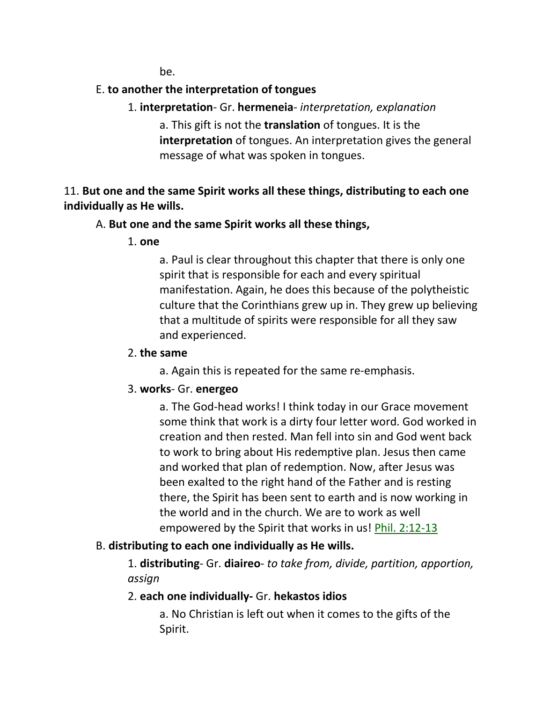be.

## E. **to another the interpretation of tongues**

1. **interpretation**- Gr. **hermeneia**- *interpretation, explanation*

a. This gift is not the **translation** of tongues. It is the **interpretation** of tongues. An interpretation gives the general message of what was spoken in tongues.

11. **But one and the same Spirit works all these things, distributing to each one individually as He wills.** 

### A. **But one and the same Spirit works all these things,**

1. **one**

a. Paul is clear throughout this chapter that there is only one spirit that is responsible for each and every spiritual manifestation. Again, he does this because of the polytheistic culture that the Corinthians grew up in. They grew up believing that a multitude of spirits were responsible for all they saw and experienced.

### 2. **the same**

a. Again this is repeated for the same re-emphasis.

## 3. **works**- Gr. **energeo**

a. The God-head works! I think today in our Grace movement some think that work is a dirty four letter word. God worked in creation and then rested. Man fell into sin and God went back to work to bring about His redemptive plan. Jesus then came and worked that plan of redemption. Now, after Jesus was been exalted to the right hand of the Father and is resting there, the Spirit has been sent to earth and is now working in the world and in the church. We are to work as well empowered by the Spirit that works in us! Phil. 2:12-13

## B. **distributing to each one individually as He wills.**

1. **distributing**- Gr. **diaireo**- *to take from, divide, partition, apportion, assign*

## 2. **each one individually-** Gr. **hekastos idios**

a. No Christian is left out when it comes to the gifts of the Spirit.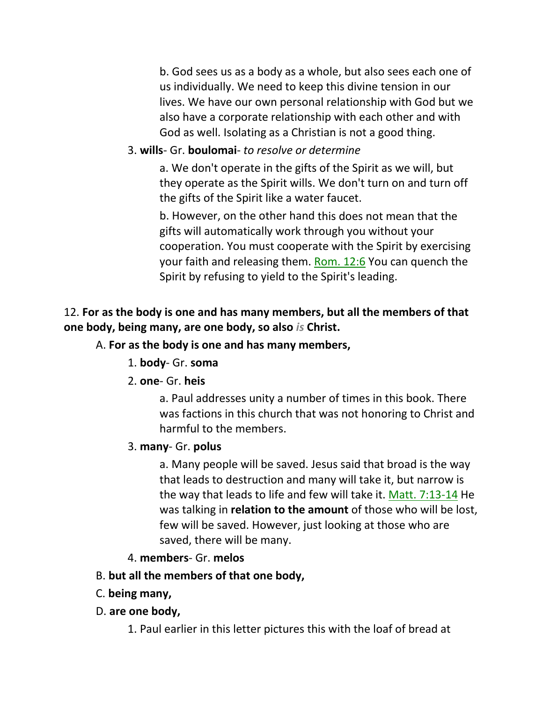b. God sees us as a body as a whole, but also sees each one of us individually. We need to keep this divine tension in our lives. We have our own personal relationship with God but we also have a corporate relationship with each other and with God as well. Isolating as a Christian is not a good thing.

### 3. **wills**- Gr. **boulomai**- *to resolve or determine*

a. We don't operate in the gifts of the Spirit as we will, but they operate as the Spirit wills. We don't turn on and turn off the gifts of the Spirit like a water faucet.

b. However, on the other hand this does not mean that the gifts will automatically work through you without your cooperation. You must cooperate with the Spirit by exercising your faith and releasing them. Rom. 12:6 You can quench the Spirit by refusing to yield to the Spirit's leading.

### 12. **For as the body is one and has many members, but all the members of that one body, being many, are one body, so also** *is* **Christ.**

### A. **For as the body is one and has many members,**

1. **body**- Gr. **soma**

### 2. **one**- Gr. **heis**

a. Paul addresses unity a number of times in this book. There was factions in this church that was not honoring to Christ and harmful to the members.

### 3. **many**- Gr. **polus**

a. Many people will be saved. Jesus said that broad is the way that leads to destruction and many will take it, but narrow is the way that leads to life and few will take it. Matt. 7:13-14 He was talking in **relation to the amount** of those who will be lost, few will be saved. However, just looking at those who are saved, there will be many.

#### 4. **members**- Gr. **melos**

### B. **but all the members of that one body,**

- C. **being many,**
- D. **are one body,**

1. Paul earlier in this letter pictures this with the loaf of bread at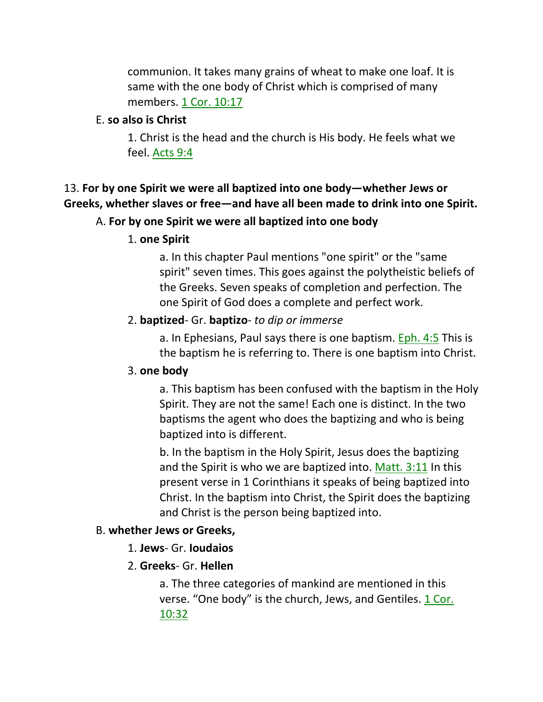communion. It takes many grains of wheat to make one loaf. It is same with the one body of Christ which is comprised of many members. 1 Cor. 10:17

#### E. **so also is Christ**

1. Christ is the head and the church is His body. He feels what we feel. Acts 9:4

## 13. **For by one Spirit we were all baptized into one body—whether Jews or Greeks, whether slaves or free—and have all been made to drink into one Spirit.**

### A. **For by one Spirit we were all baptized into one body**

### 1. **one Spirit**

a. In this chapter Paul mentions "one spirit" or the "same spirit" seven times. This goes against the polytheistic beliefs of the Greeks. Seven speaks of completion and perfection. The one Spirit of God does a complete and perfect work.

### 2. **baptized**- Gr. **baptizo**- *to dip or immerse*

a. In Ephesians, Paul says there is one baptism. Eph. 4:5 This is the baptism he is referring to. There is one baptism into Christ.

### 3. **one body**

a. This baptism has been confused with the baptism in the Holy Spirit. They are not the same! Each one is distinct. In the two baptisms the agent who does the baptizing and who is being baptized into is different.

b. In the baptism in the Holy Spirit, Jesus does the baptizing and the Spirit is who we are baptized into. Matt. 3:11 In this present verse in 1 Corinthians it speaks of being baptized into Christ. In the baptism into Christ, the Spirit does the baptizing and Christ is the person being baptized into.

## B. **whether Jews or Greeks,**

1. **Jews**- Gr. **Ioudaios**

## 2. **Greeks**- Gr. **Hellen**

a. The three categories of mankind are mentioned in this verse. "One body" is the church, Jews, and Gentiles. 1 Cor. 10:32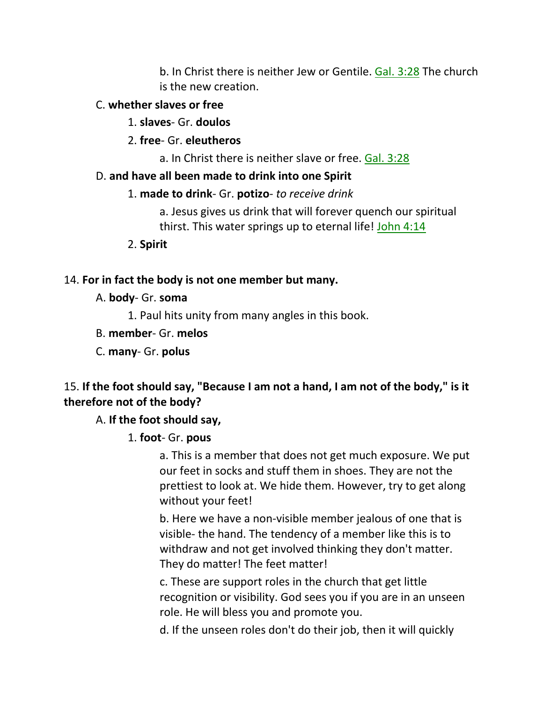b. In Christ there is neither Jew or Gentile. Gal. 3:28 The church is the new creation.

### C. **whether slaves or free**

1. **slaves**- Gr. **doulos**

2. **free**- Gr. **eleutheros**

a. In Christ there is neither slave or free. Gal. 3:28

## D. **and have all been made to drink into one Spirit**

1. **made to drink**- Gr. **potizo**- *to receive drink*

a. Jesus gives us drink that will forever quench our spiritual thirst. This water springs up to eternal life! John 4:14

2. **Spirit**

## 14. **For in fact the body is not one member but many.**

- A. **body** Gr. **soma**
	- 1. Paul hits unity from many angles in this book.
- B. **member** Gr. **melos**
- C. **many** Gr. **polus**

## 15. **If the foot should say, "Because I am not a hand, I am not of the body," is it therefore not of the body?**

## A. **If the foot should say,**

1. **foot**- Gr. **pous**

a. This is a member that does not get much exposure. We put our feet in socks and stuff them in shoes. They are not the prettiest to look at. We hide them. However, try to get along without your feet!

b. Here we have a non-visible member jealous of one that is visible- the hand. The tendency of a member like this is to withdraw and not get involved thinking they don't matter. They do matter! The feet matter!

c. These are support roles in the church that get little recognition or visibility. God sees you if you are in an unseen role. He will bless you and promote you.

d. If the unseen roles don't do their job, then it will quickly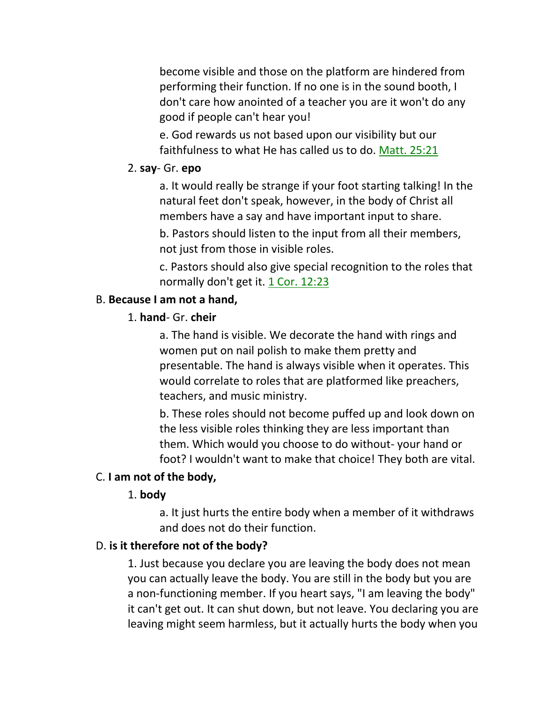become visible and those on the platform are hindered from performing their function. If no one is in the sound booth, I don't care how anointed of a teacher you are it won't do any good if people can't hear you!

e. God rewards us not based upon our visibility but our faithfulness to what He has called us to do. Matt. 25:21

#### 2. **say**- Gr. **epo**

a. It would really be strange if your foot starting talking! In the natural feet don't speak, however, in the body of Christ all members have a say and have important input to share.

b. Pastors should listen to the input from all their members, not just from those in visible roles.

c. Pastors should also give special recognition to the roles that normally don't get it. 1 Cor. 12:23

### B. **Because I am not a hand,**

### 1. **hand**- Gr. **cheir**

a. The hand is visible. We decorate the hand with rings and women put on nail polish to make them pretty and presentable. The hand is always visible when it operates. This would correlate to roles that are platformed like preachers, teachers, and music ministry.

b. These roles should not become puffed up and look down on the less visible roles thinking they are less important than them. Which would you choose to do without- your hand or foot? I wouldn't want to make that choice! They both are vital.

### C. **I am not of the body,**

#### 1. **body**

a. It just hurts the entire body when a member of it withdraws and does not do their function.

### D. **is it therefore not of the body?**

1. Just because you declare you are leaving the body does not mean you can actually leave the body. You are still in the body but you are a non-functioning member. If you heart says, "I am leaving the body" it can't get out. It can shut down, but not leave. You declaring you are leaving might seem harmless, but it actually hurts the body when you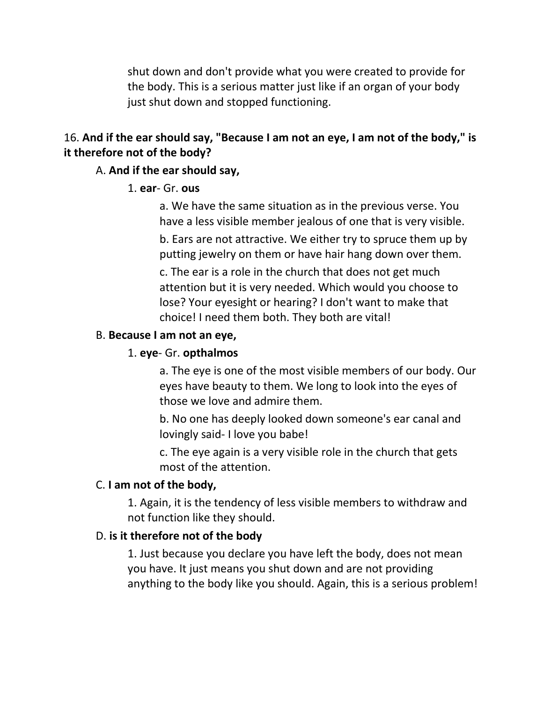shut down and don't provide what you were created to provide for the body. This is a serious matter just like if an organ of your body just shut down and stopped functioning.

## 16. **And if the ear should say, "Because I am not an eye, I am not of the body," is it therefore not of the body?**

#### A. **And if the ear should say,**

#### 1. **ear**- Gr. **ous**

a. We have the same situation as in the previous verse. You have a less visible member jealous of one that is very visible.

b. Ears are not attractive. We either try to spruce them up by putting jewelry on them or have hair hang down over them.

c. The ear is a role in the church that does not get much attention but it is very needed. Which would you choose to lose? Your eyesight or hearing? I don't want to make that choice! I need them both. They both are vital!

#### B. **Because I am not an eye,**

#### 1. **eye**- Gr. **opthalmos**

a. The eye is one of the most visible members of our body. Our eyes have beauty to them. We long to look into the eyes of those we love and admire them.

b. No one has deeply looked down someone's ear canal and lovingly said- I love you babe!

c. The eye again is a very visible role in the church that gets most of the attention.

#### C. **I am not of the body,**

1. Again, it is the tendency of less visible members to withdraw and not function like they should.

#### D. **is it therefore not of the body**

1. Just because you declare you have left the body, does not mean you have. It just means you shut down and are not providing anything to the body like you should. Again, this is a serious problem!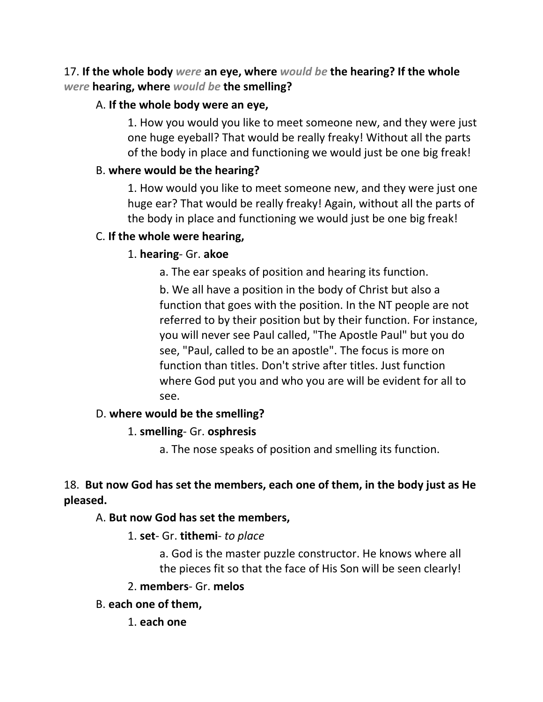## 17. **If the whole body** *were* **an eye, where** *would be* **the hearing? If the whole**  *were* **hearing, where** *would be* **the smelling?**

## A. **If the whole body were an eye,**

1. How you would you like to meet someone new, and they were just one huge eyeball? That would be really freaky! Without all the parts of the body in place and functioning we would just be one big freak!

### B. **where would be the hearing?**

1. How would you like to meet someone new, and they were just one huge ear? That would be really freaky! Again, without all the parts of the body in place and functioning we would just be one big freak!

### C. **If the whole were hearing,**

### 1. **hearing**- Gr. **akoe**

a. The ear speaks of position and hearing its function.

b. We all have a position in the body of Christ but also a function that goes with the position. In the NT people are not referred to by their position but by their function. For instance, you will never see Paul called, "The Apostle Paul" but you do see, "Paul, called to be an apostle". The focus is more on function than titles. Don't strive after titles. Just function where God put you and who you are will be evident for all to see.

### D. **where would be the smelling?**

### 1. **smelling**- Gr. **osphresis**

a. The nose speaks of position and smelling its function.

## 18. **But now God has set the members, each one of them, in the body just as He pleased.**

### A. **But now God has set the members,**

### 1. **set**- Gr. **tithemi**- *to place*

a. God is the master puzzle constructor. He knows where all the pieces fit so that the face of His Son will be seen clearly!

### 2. **members**- Gr. **melos**

- B. **each one of them,**
	- 1. **each one**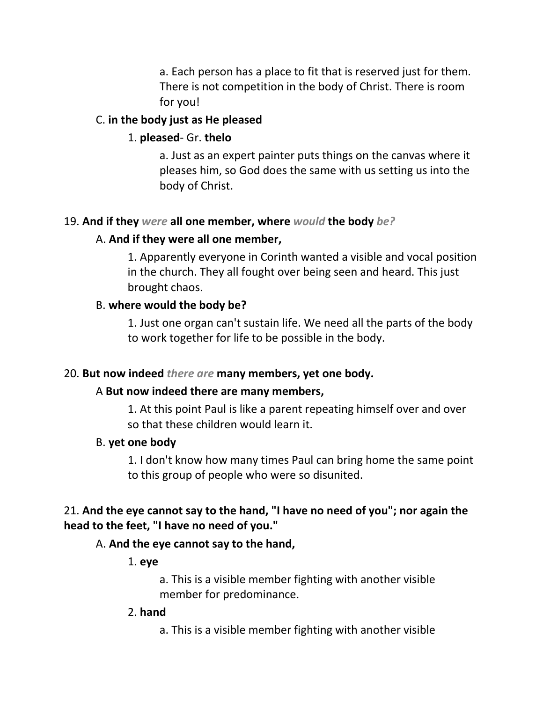a. Each person has a place to fit that is reserved just for them. There is not competition in the body of Christ. There is room for you!

### C. **in the body just as He pleased**

## 1. **pleased**- Gr. **thelo**

a. Just as an expert painter puts things on the canvas where it pleases him, so God does the same with us setting us into the body of Christ.

## 19. **And if they** *were* **all one member, where** *would* **the body** *be?*

### A. **And if they were all one member,**

1. Apparently everyone in Corinth wanted a visible and vocal position in the church. They all fought over being seen and heard. This just brought chaos.

## B. **where would the body be?**

1. Just one organ can't sustain life. We need all the parts of the body to work together for life to be possible in the body.

### 20. **But now indeed** *there are* **many members, yet one body.**

## A **But now indeed there are many members,**

1. At this point Paul is like a parent repeating himself over and over so that these children would learn it.

### B. **yet one body**

1. I don't know how many times Paul can bring home the same point to this group of people who were so disunited.

## 21. **And the eye cannot say to the hand, "I have no need of you"; nor again the head to the feet, "I have no need of you."**

## A. **And the eye cannot say to the hand,**

1. **eye**

a. This is a visible member fighting with another visible member for predominance.

### 2. **hand**

a. This is a visible member fighting with another visible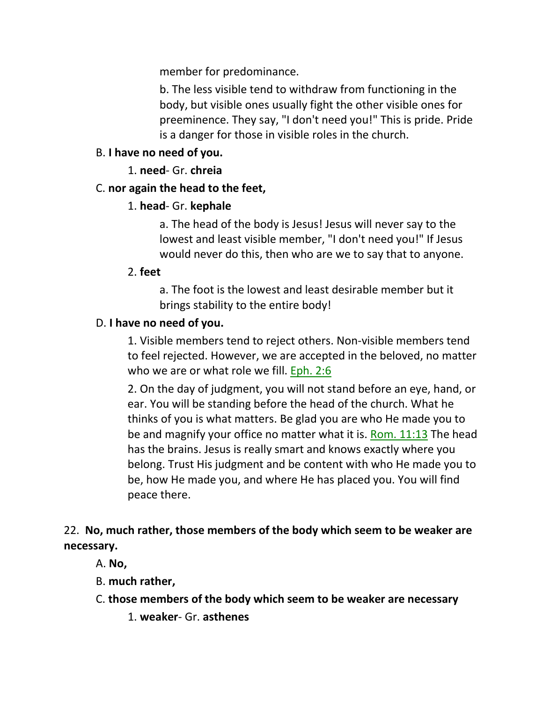member for predominance.

b. The less visible tend to withdraw from functioning in the body, but visible ones usually fight the other visible ones for preeminence. They say, "I don't need you!" This is pride. Pride is a danger for those in visible roles in the church.

### B. **I have no need of you.**

1. **need**- Gr. **chreia**

### C. **nor again the head to the feet,**

### 1. **head**- Gr. **kephale**

a. The head of the body is Jesus! Jesus will never say to the lowest and least visible member, "I don't need you!" If Jesus would never do this, then who are we to say that to anyone.

### 2. **feet**

a. The foot is the lowest and least desirable member but it brings stability to the entire body!

### D. **I have no need of you.**

1. Visible members tend to reject others. Non-visible members tend to feel rejected. However, we are accepted in the beloved, no matter who we are or what role we fill. Eph. 2:6

2. On the day of judgment, you will not stand before an eye, hand, or ear. You will be standing before the head of the church. What he thinks of you is what matters. Be glad you are who He made you to be and magnify your office no matter what it is. Rom. 11:13 The head has the brains. Jesus is really smart and knows exactly where you belong. Trust His judgment and be content with who He made you to be, how He made you, and where He has placed you. You will find peace there.

22. **No, much rather, those members of the body which seem to be weaker are necessary.**

- A. **No,**
- B. **much rather,**
- C. **those members of the body which seem to be weaker are necessary**
	- 1. **weaker** Gr. **asthenes**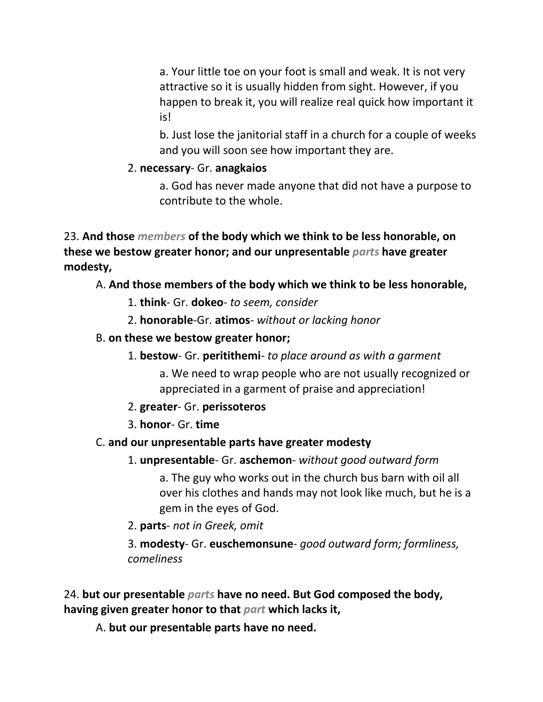a. Your little toe on your foot is small and weak. It is not very attractive so it is usually hidden from sight. However, if you happen to break it, you will realize real quick how important it is!

b. Just lose the janitorial staff in a church for a couple of weeks and you will soon see how important they are.

## 2. **necessary**- Gr. **anagkaios**

a. God has never made anyone that did not have a purpose to contribute to the whole.

23. **And those** *members* **of the body which we think to be less honorable, on these we bestow greater honor; and our unpresentable** *parts* **have greater modesty,** 

## A. **And those members of the body which we think to be less honorable,**

- 1. **think** Gr. **dokeo** *to seem, consider*
- 2. **honorable**-Gr. **atimos** *without or lacking honor*
- B. **on these we bestow greater honor;**
	- 1. **bestow** Gr. **peritithemi** *to place around as with a garment*

a. We need to wrap people who are not usually recognized or appreciated in a garment of praise and appreciation!

- 2. **greater** Gr. **perissoteros**
- 3. **honor** Gr. **time**

## C. **and our unpresentable parts have greater modesty**

1. **unpresentable**- Gr. **aschemon**- *without good outward form*

a. The guy who works out in the church bus barn with oil all over his clothes and hands may not look like much, but he is a gem in the eyes of God.

2. **parts**- *not in Greek, omit*

3. **modesty**- Gr. **euschemonsune**- *good outward form; formliness, comeliness*

24. **but our presentable** *parts* **have no need. But God composed the body, having given greater honor to that** *part* **which lacks it,** 

A. **but our presentable parts have no need.**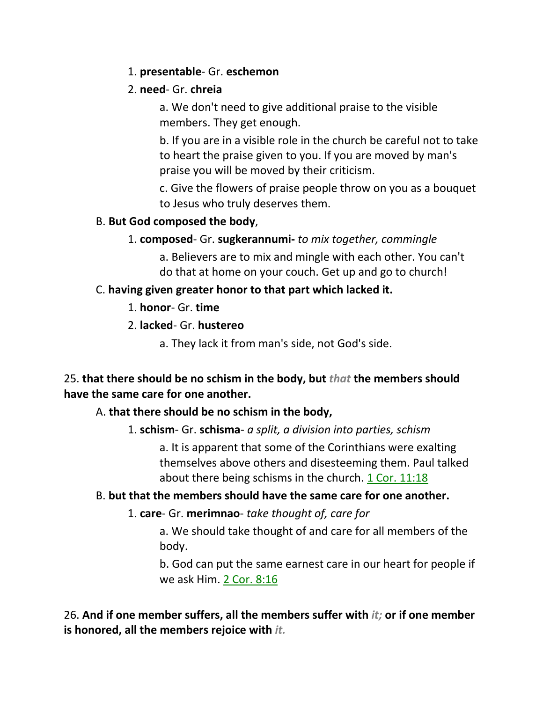## 1. **presentable**- Gr. **eschemon**

### 2. **need**- Gr. **chreia**

a. We don't need to give additional praise to the visible members. They get enough.

b. If you are in a visible role in the church be careful not to take to heart the praise given to you. If you are moved by man's praise you will be moved by their criticism.

c. Give the flowers of praise people throw on you as a bouquet to Jesus who truly deserves them.

### B. **But God composed the body**,

1. **composed**- Gr. **sugkerannumi-** *to mix together, commingle*

a. Believers are to mix and mingle with each other. You can't do that at home on your couch. Get up and go to church!

## C. **having given greater honor to that part which lacked it.**

1. **honor**- Gr. **time**

2. **lacked**- Gr. **hustereo**

a. They lack it from man's side, not God's side.

## 25. **that there should be no schism in the body, but** *that* **the members should have the same care for one another.**

## A. **that there should be no schism in the body,**

1. **schism**- Gr. **schisma**- *a split, a division into parties, schism*

a. It is apparent that some of the Corinthians were exalting themselves above others and disesteeming them. Paul talked about there being schisms in the church. 1 Cor. 11:18

## B. **but that the members should have the same care for one another.**

## 1. **care**- Gr. **merimnao**- *take thought of, care for*

a. We should take thought of and care for all members of the body.

b. God can put the same earnest care in our heart for people if we ask Him. 2 Cor. 8:16

26. **And if one member suffers, all the members suffer with** *it;* **or if one member is honored, all the members rejoice with** *it.*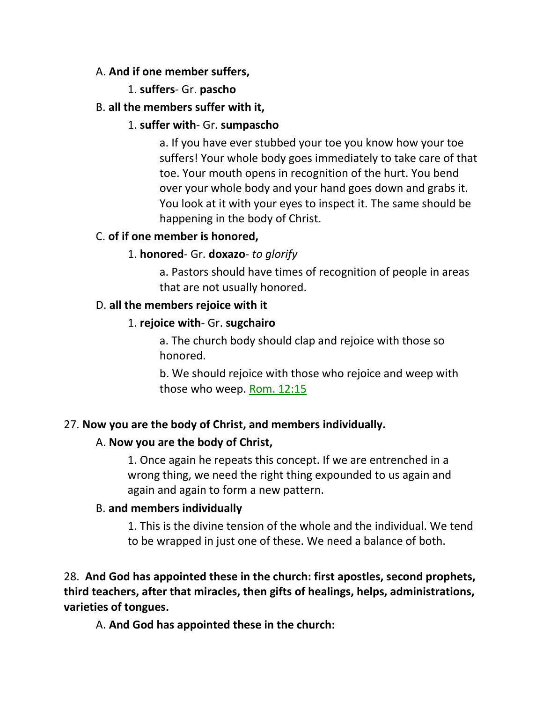### A. **And if one member suffers,**

### 1. **suffers**- Gr. **pascho**

### B. **all the members suffer with it,**

### 1. **suffer with**- Gr. **sumpascho**

a. If you have ever stubbed your toe you know how your toe suffers! Your whole body goes immediately to take care of that toe. Your mouth opens in recognition of the hurt. You bend over your whole body and your hand goes down and grabs it. You look at it with your eyes to inspect it. The same should be happening in the body of Christ.

### C. **of if one member is honored,**

### 1. **honored**- Gr. **doxazo**- *to glorify*

a. Pastors should have times of recognition of people in areas that are not usually honored.

### D. **all the members rejoice with it**

### 1. **rejoice with**- Gr. **sugchairo**

a. The church body should clap and rejoice with those so honored.

b. We should rejoice with those who rejoice and weep with those who weep. Rom. 12:15

## 27. **Now you are the body of Christ, and members individually.**

### A. **Now you are the body of Christ,**

1. Once again he repeats this concept. If we are entrenched in a wrong thing, we need the right thing expounded to us again and again and again to form a new pattern.

### B. **and members individually**

1. This is the divine tension of the whole and the individual. We tend to be wrapped in just one of these. We need a balance of both.

28. **And God has appointed these in the church: first apostles, second prophets, third teachers, after that miracles, then gifts of healings, helps, administrations, varieties of tongues.** 

A. **And God has appointed these in the church:**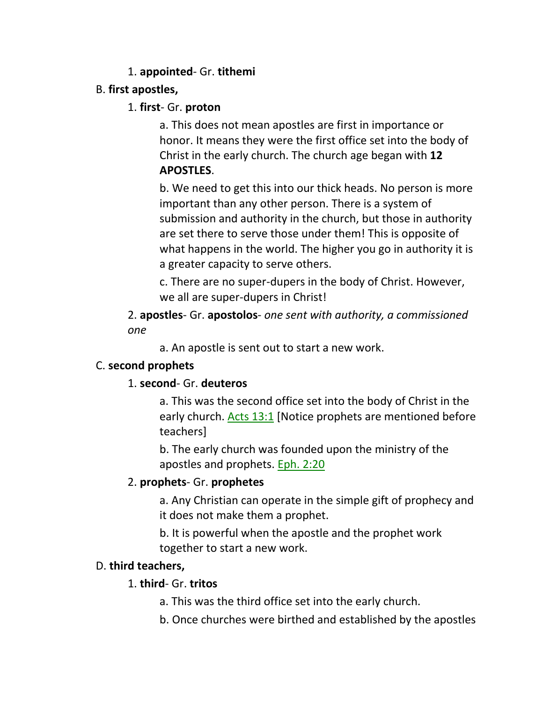### 1. **appointed**- Gr. **tithemi**

### B. **first apostles,**

### 1. **first**- Gr. **proton**

a. This does not mean apostles are first in importance or honor. It means they were the first office set into the body of Christ in the early church. The church age began with **12 APOSTLES**.

b. We need to get this into our thick heads. No person is more important than any other person. There is a system of submission and authority in the church, but those in authority are set there to serve those under them! This is opposite of what happens in the world. The higher you go in authority it is a greater capacity to serve others.

c. There are no super-dupers in the body of Christ. However, we all are super-dupers in Christ!

2. **apostles**- Gr. **apostolos**- *one sent with authority, a commissioned one*

a. An apostle is sent out to start a new work.

## C. **second prophets**

## 1. **second**- Gr. **deuteros**

a. This was the second office set into the body of Christ in the early church. Acts 13:1 [Notice prophets are mentioned before teachers]

b. The early church was founded upon the ministry of the apostles and prophets. Eph. 2:20

## 2. **prophets**- Gr. **prophetes**

a. Any Christian can operate in the simple gift of prophecy and it does not make them a prophet.

b. It is powerful when the apostle and the prophet work together to start a new work.

## D. **third teachers,**

## 1. **third**- Gr. **tritos**

- a. This was the third office set into the early church.
- b. Once churches were birthed and established by the apostles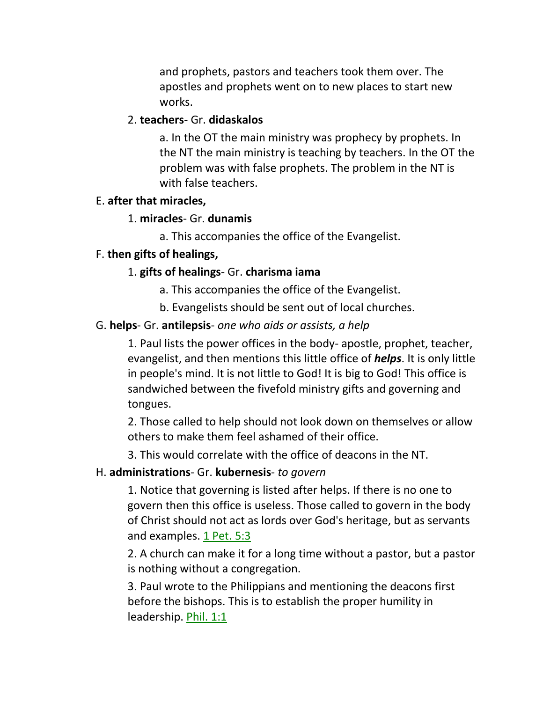and prophets, pastors and teachers took them over. The apostles and prophets went on to new places to start new works.

#### 2. **teachers**- Gr. **didaskalos**

a. In the OT the main ministry was prophecy by prophets. In the NT the main ministry is teaching by teachers. In the OT the problem was with false prophets. The problem in the NT is with false teachers.

#### E. **after that miracles,**

#### 1. **miracles**- Gr. **dunamis**

a. This accompanies the office of the Evangelist.

#### F. **then gifts of healings,**

#### 1. **gifts of healings**- Gr. **charisma iama**

- a. This accompanies the office of the Evangelist.
- b. Evangelists should be sent out of local churches.

#### G. **helps**- Gr. **antilepsis**- *one who aids or assists, a help*

1. Paul lists the power offices in the body- apostle, prophet, teacher, evangelist, and then mentions this little office of *helps*. It is only little in people's mind. It is not little to God! It is big to God! This office is sandwiched between the fivefold ministry gifts and governing and tongues.

2. Those called to help should not look down on themselves or allow others to make them feel ashamed of their office.

3. This would correlate with the office of deacons in the NT.

#### H. **administrations**- Gr. **kubernesis**- *to govern*

1. Notice that governing is listed after helps. If there is no one to govern then this office is useless. Those called to govern in the body of Christ should not act as lords over God's heritage, but as servants and examples. 1 Pet. 5:3

2. A church can make it for a long time without a pastor, but a pastor is nothing without a congregation.

3. Paul wrote to the Philippians and mentioning the deacons first before the bishops. This is to establish the proper humility in leadership. Phil. 1:1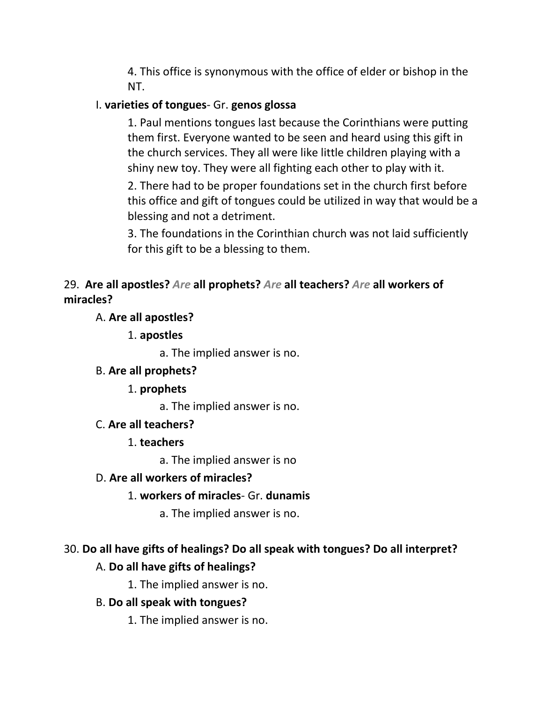4. This office is synonymous with the office of elder or bishop in the NT.

## I. **varieties of tongues**- Gr. **genos glossa**

1. Paul mentions tongues last because the Corinthians were putting them first. Everyone wanted to be seen and heard using this gift in the church services. They all were like little children playing with a shiny new toy. They were all fighting each other to play with it.

2. There had to be proper foundations set in the church first before this office and gift of tongues could be utilized in way that would be a blessing and not a detriment.

3. The foundations in the Corinthian church was not laid sufficiently for this gift to be a blessing to them.

## 29. **Are all apostles?** *Are* **all prophets?** *Are* **all teachers?** *Are* **all workers of miracles?**

## A. **Are all apostles?**

1. **apostles**

a. The implied answer is no.

## B. **Are all prophets?**

1. **prophets**

a. The implied answer is no.

## C. **Are all teachers?**

## 1. **teachers**

a. The implied answer is no

## D. **Are all workers of miracles?**

## 1. **workers of miracles**- Gr. **dunamis**

a. The implied answer is no.

# 30. **Do all have gifts of healings? Do all speak with tongues? Do all interpret?**

## A. **Do all have gifts of healings?**

1. The implied answer is no.

## B. **Do all speak with tongues?**

1. The implied answer is no.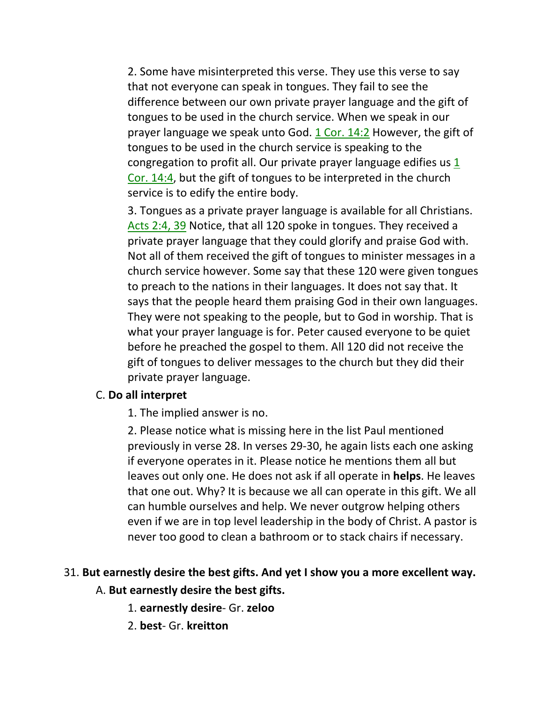2. Some have misinterpreted this verse. They use this verse to say that not everyone can speak in tongues. They fail to see the difference between our own private prayer language and the gift of tongues to be used in the church service. When we speak in our prayer language we speak unto God.  $1$  Cor.  $14:2$  However, the gift of tongues to be used in the church service is speaking to the congregation to profit all. Our private prayer language edifies us 1 Cor. 14:4, but the gift of tongues to be interpreted in the church service is to edify the entire body.

3. Tongues as a private prayer language is available for all Christians. Acts 2:4, 39 Notice, that all 120 spoke in tongues. They received a private prayer language that they could glorify and praise God with. Not all of them received the gift of tongues to minister messages in a church service however. Some say that these 120 were given tongues to preach to the nations in their languages. It does not say that. It says that the people heard them praising God in their own languages. They were not speaking to the people, but to God in worship. That is what your prayer language is for. Peter caused everyone to be quiet before he preached the gospel to them. All 120 did not receive the gift of tongues to deliver messages to the church but they did their private prayer language.

#### C. **Do all interpret**

1. The implied answer is no.

2. Please notice what is missing here in the list Paul mentioned previously in verse 28. In verses 29-30, he again lists each one asking if everyone operates in it. Please notice he mentions them all but leaves out only one. He does not ask if all operate in **helps**. He leaves that one out. Why? It is because we all can operate in this gift. We all can humble ourselves and help. We never outgrow helping others even if we are in top level leadership in the body of Christ. A pastor is never too good to clean a bathroom or to stack chairs if necessary.

### 31. **But earnestly desire the best gifts. And yet I show you a more excellent way.**

#### A. **But earnestly desire the best gifts.**

- 1. **earnestly desire** Gr. **zeloo**
- 2. **best** Gr. **kreitton**